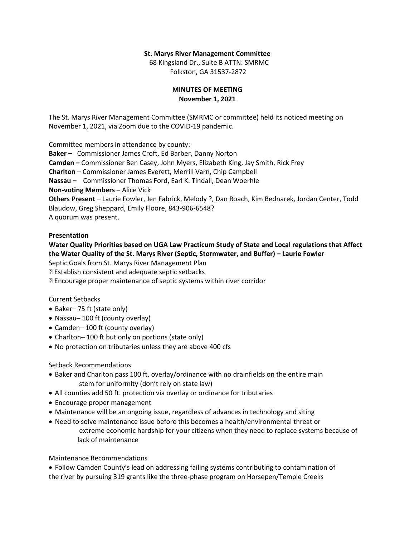## **St. Marys River Management Committee**

 68 Kingsland Dr., Suite B ATTN: SMRMC Folkston, GA 31537-2872

# **MINUTES OF MEETING November 1, 2021**

The St. Marys River Management Committee (SMRMC or committee) held its noticed meeting on November 1, 2021, via Zoom due to the COVID-19 pandemic.

Committee members in attendance by county: **Baker –** Commissioner James Croft, Ed Barber, Danny Norton **Camden –** Commissioner Ben Casey, John Myers, Elizabeth King, Jay Smith, Rick Frey **Charlton** – Commissioner James Everett, Merrill Varn, Chip Campbell **Nassau –** Commissioner Thomas Ford, Earl K. Tindall, Dean Woerhle **Non-voting Members –** Alice Vick **Others Present** – Laurie Fowler, Jen Fabrick, Melody ?, Dan Roach, Kim Bednarek, Jordan Center, Todd Blaudow, Greg Sheppard, Emily Floore, 843-906-6548? A quorum was present.

## **Presentation**

# **Water Quality Priorities based on UGA Law Practicum Study of State and Local regulations that Affect the Water Quality of the St. Marys River (Septic, Stormwater, and Buffer) – Laurie Fowler**

Septic Goals from St. Marys River Management Plan

Establish consistent and adequate septic setbacks

Encourage proper maintenance of septic systems within river corridor

## Current Setbacks

- Baker– 75 ft (state only)
- Nassau–100 ft (county overlay)
- Camden– 100 ft (county overlay)
- Charlton–100 ft but only on portions (state only)
- No protection on tributaries unless they are above 400 cfs

# Setback Recommendations

- Baker and Charlton pass 100 ft. overlay/ordinance with no drainfields on the entire main stem for uniformity (don't rely on state law)
- All counties add 50 ft. protection via overlay or ordinance for tributaries
- Encourage proper management
- Maintenance will be an ongoing issue, regardless of advances in technology and siting
- Need to solve maintenance issue before this becomes a health/environmental threat or extreme economic hardship for your citizens when they need to replace systems because of lack of maintenance

Maintenance Recommendations

• Follow Camden County's lead on addressing failing systems contributing to contamination of the river by pursuing 319 grants like the three-phase program on Horsepen/Temple Creeks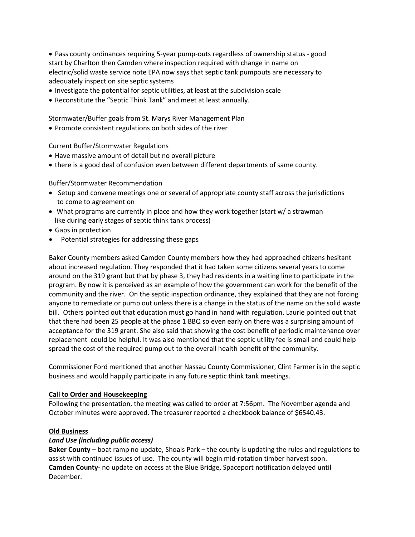• Pass county ordinances requiring 5-year pump-outs regardless of ownership status - good start by Charlton then Camden where inspection required with change in name on electric/solid waste service note EPA now says that septic tank pumpouts are necessary to adequately inspect on site septic systems

- Investigate the potential for septic utilities, at least at the subdivision scale
- Reconstitute the "Septic Think Tank" and meet at least annually.

Stormwater/Buffer goals from St. Marys River Management Plan

• Promote consistent regulations on both sides of the river

Current Buffer/Stormwater Regulations

- Have massive amount of detail but no overall picture
- there is a good deal of confusion even between different departments of same county.

Buffer/Stormwater Recommendation

- Setup and convene meetings one or several of appropriate county staff across the jurisdictions to come to agreement on
- What programs are currently in place and how they work together (start w/ a strawman like during early stages of septic think tank process)
- Gaps in protection
- Potential strategies for addressing these gaps

Baker County members asked Camden County members how they had approached citizens hesitant about increased regulation. They responded that it had taken some citizens several years to come around on the 319 grant but that by phase 3, they had residents in a waiting line to participate in the program. By now it is perceived as an example of how the government can work for the benefit of the community and the river. On the septic inspection ordinance, they explained that they are not forcing anyone to remediate or pump out unless there is a change in the status of the name on the solid waste bill. Others pointed out that education must go hand in hand with regulation. Laurie pointed out that that there had been 25 people at the phase 1 BBQ so even early on there was a surprising amount of acceptance for the 319 grant. She also said that showing the cost benefit of periodic maintenance over replacement could be helpful. It was also mentioned that the septic utility fee is small and could help spread the cost of the required pump out to the overall health benefit of the community.

Commissioner Ford mentioned that another Nassau County Commissioner, Clint Farmer is in the septic business and would happily participate in any future septic think tank meetings.

## **Call to Order and Housekeeping**

Following the presentation, the meeting was called to order at 7:56pm. The November agenda and October minutes were approved. The treasurer reported a checkbook balance of \$6540.43.

## **Old Business**

## *Land Use (including public access)*

**Baker County** – boat ramp no update, Shoals Park – the county is updating the rules and regulations to assist with continued issues of use. The county will begin mid-rotation timber harvest soon. **Camden County-** no update on access at the Blue Bridge, Spaceport notification delayed until December.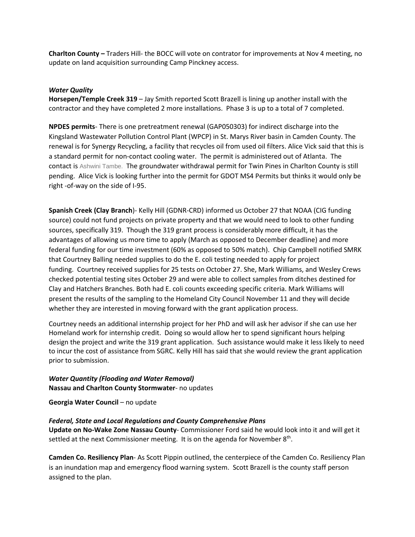**Charlton County –** Traders Hill- the BOCC will vote on contrator for improvements at Nov 4 meeting, no update on land acquisition surrounding Camp Pinckney access.

# *Water Quality*

**Horsepen/Temple Creek 319** – Jay Smith reported Scott Brazell is lining up another install with the contractor and they have completed 2 more installations. Phase 3 is up to a total of 7 completed.

**NPDES permits**- There is one pretreatment renewal (GAP050303) for indirect discharge into the Kingsland Wastewater Pollution Control Plant (WPCP) in St. Marys River basin in Camden County. The renewal is for Synergy Recycling, a facility that recycles oil from used oil filters. Alice Vick said that this is a standard permit for non-contact cooling water. The permit is administered out of Atlanta. The contact is Ashwini Tambe. The groundwater withdrawal permit for Twin Pines in Charlton County is still pending. Alice Vick is looking further into the permit for GDOT MS4 Permits but thinks it would only be right -of-way on the side of I-95.

**Spanish Creek (Clay Branch**)- Kelly Hill (GDNR-CRD) informed us October 27 that NOAA (CIG funding source) could not fund projects on private property and that we would need to look to other funding sources, specifically 319. Though the 319 grant process is considerably more difficult, it has the advantages of allowing us more time to apply (March as opposed to December deadline) and more federal funding for our time investment (60% as opposed to 50% match). Chip Campbell notified SMRK that Courtney Balling needed supplies to do the E. coli testing needed to apply for project funding. Courtney received supplies for 25 tests on October 27. She, Mark Williams, and Wesley Crews checked potential testing sites October 29 and were able to collect samples from ditches destined for Clay and Hatchers Branches. Both had E. coli counts exceeding specific criteria. Mark Williams will present the results of the sampling to the Homeland City Council November 11 and they will decide whether they are interested in moving forward with the grant application process.

Courtney needs an additional internship project for her PhD and will ask her advisor if she can use her Homeland work for internship credit. Doing so would allow her to spend significant hours helping design the project and write the 319 grant application. Such assistance would make it less likely to need to incur the cost of assistance from SGRC. Kelly Hill has said that she would review the grant application prior to submission.

# *Water Quantity (Flooding and Water Removal)* **Nassau and Charlton County Stormwater**- no updates

**Georgia Water Council** – no update

# *Federal, State and Local Regulations and County Comprehensive Plans*

**Update on No-Wake Zone Nassau County**- Commissioner Ford said he would look into it and will get it settled at the next Commissioner meeting. It is on the agenda for November 8<sup>th</sup>.

**Camden Co. Resiliency Plan**- As Scott Pippin outlined, the centerpiece of the Camden Co. Resiliency Plan is an inundation map and emergency flood warning system. Scott Brazell is the county staff person assigned to the plan.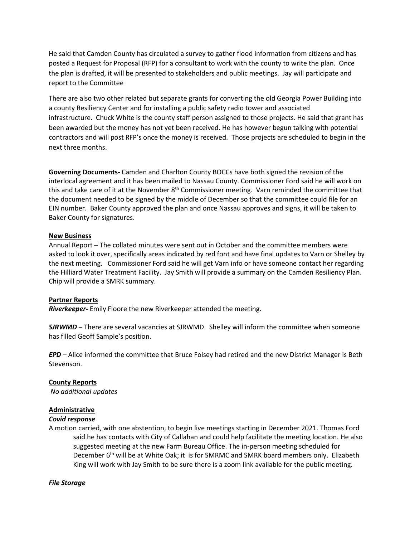He said that Camden County has circulated a survey to gather flood information from citizens and has posted a Request for Proposal (RFP) for a consultant to work with the county to write the plan. Once the plan is drafted, it will be presented to stakeholders and public meetings. Jay will participate and report to the Committee

There are also two other related but separate grants for converting the old Georgia Power Building into a county Resiliency Center and for installing a public safety radio tower and associated infrastructure. Chuck White is the county staff person assigned to those projects. He said that grant has been awarded but the money has not yet been received. He has however begun talking with potential contractors and will post RFP's once the money is received. Those projects are scheduled to begin in the next three months.

**Governing Documents-** Camden and Charlton County BOCCs have both signed the revision of the interlocal agreement and it has been mailed to Nassau County. Commissioner Ford said he will work on this and take care of it at the November 8<sup>th</sup> Commissioner meeting. Varn reminded the committee that the document needed to be signed by the middle of December so that the committee could file for an EIN number. Baker County approved the plan and once Nassau approves and signs, it will be taken to Baker County for signatures.

# **New Business**

Annual Report – The collated minutes were sent out in October and the committee members were asked to look it over, specifically areas indicated by red font and have final updates to Varn or Shelley by the next meeting. Commissioner Ford said he will get Varn info or have someone contact her regarding the Hilliard Water Treatment Facility. Jay Smith will provide a summary on the Camden Resiliency Plan. Chip will provide a SMRK summary.

# **Partner Reports**

*Riverkeeper-* Emily Floore the new Riverkeeper attended the meeting.

*SJRWMD* – There are several vacancies at SJRWMD. Shelley will inform the committee when someone has filled Geoff Sample's position.

*EPD* – Alice informed the committee that Bruce Foisey had retired and the new District Manager is Beth Stevenson.

# **County Reports**

*No additional updates*

# **Administrative**

# *Covid response*

A motion carried, with one abstention, to begin live meetings starting in December 2021. Thomas Ford said he has contacts with City of Callahan and could help facilitate the meeting location. He also suggested meeting at the new Farm Bureau Office. The in-person meeting scheduled for December 6<sup>th</sup> will be at White Oak; it is for SMRMC and SMRK board members only. Elizabeth King will work with Jay Smith to be sure there is a zoom link available for the public meeting.

# *File Storage*